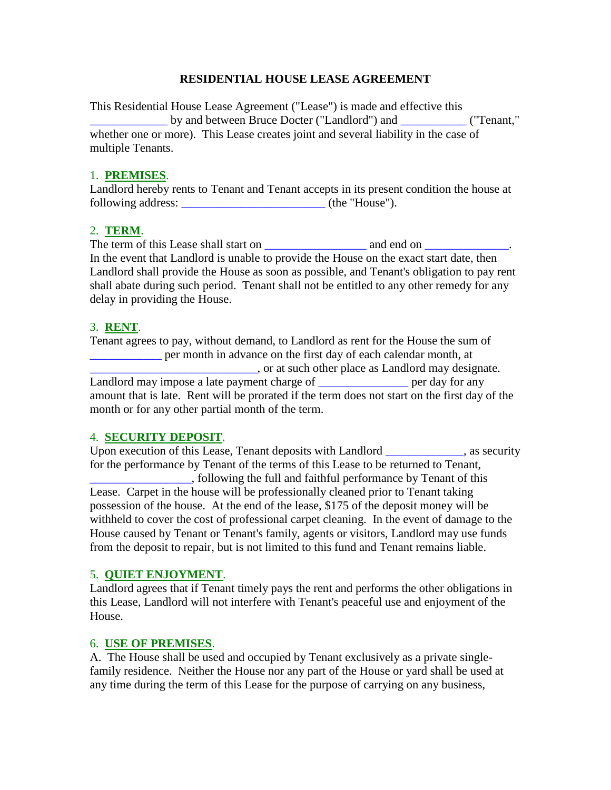### **RESIDENTIAL HOUSE LEASE AGREEMENT**

This Residential House Lease Agreement ("Lease") is made and effective this by and between Bruce Docter ("Landlord") and \_\_\_\_\_\_\_\_\_ ("Tenant," whether one or more). This Lease creates joint and several liability in the case of multiple Tenants.

#### 1. **PREMISES**.

Landlord hereby rents to Tenant and Tenant accepts in its present condition the house at following address: \_\_\_\_\_\_\_\_\_\_\_\_\_\_\_\_\_\_\_\_\_\_\_\_ (the "House").

### 2. **TERM**.

The term of this Lease shall start on \_\_\_\_\_\_\_\_\_\_\_\_\_\_\_\_\_ and end on \_\_\_\_\_\_\_\_\_\_\_\_\_\_. In the event that Landlord is unable to provide the House on the exact start date, then Landlord shall provide the House as soon as possible, and Tenant's obligation to pay rent shall abate during such period. Tenant shall not be entitled to any other remedy for any delay in providing the House.

#### 3. **RENT**.

Tenant agrees to pay, without demand, to Landlord as rent for the House the sum of \_\_\_\_\_\_\_\_\_\_\_\_ per month in advance on the first day of each calendar month, at \_\_\_\_\_\_\_\_\_\_\_\_\_\_\_\_\_\_\_\_\_\_\_\_\_\_\_\_, or at such other place as Landlord may designate. Landlord may impose a late payment charge of \_\_\_\_\_\_\_\_\_\_\_\_\_\_\_\_\_ per day for any amount that is late. Rent will be prorated if the term does not start on the first day of the month or for any other partial month of the term.

### 4. **SECURITY DEPOSIT**.

Upon execution of this Lease, Tenant deposits with Landlord and execurity as security for the performance by Tenant of the terms of this Lease to be returned to Tenant, \_\_\_\_\_\_\_\_\_\_\_\_\_\_\_\_\_, following the full and faithful performance by Tenant of this

Lease. Carpet in the house will be professionally cleaned prior to Tenant taking possession of the house. At the end of the lease, \$175 of the deposit money will be withheld to cover the cost of professional carpet cleaning. In the event of damage to the House caused by Tenant or Tenant's family, agents or visitors, Landlord may use funds from the deposit to repair, but is not limited to this fund and Tenant remains liable.

#### 5. **QUIET ENJOYMENT**.

Landlord agrees that if Tenant timely pays the rent and performs the other obligations in this Lease, Landlord will not interfere with Tenant's peaceful use and enjoyment of the House.

### 6. **USE OF PREMISES**.

A. The House shall be used and occupied by Tenant exclusively as a private singlefamily residence. Neither the House nor any part of the House or yard shall be used at any time during the term of this Lease for the purpose of carrying on any business,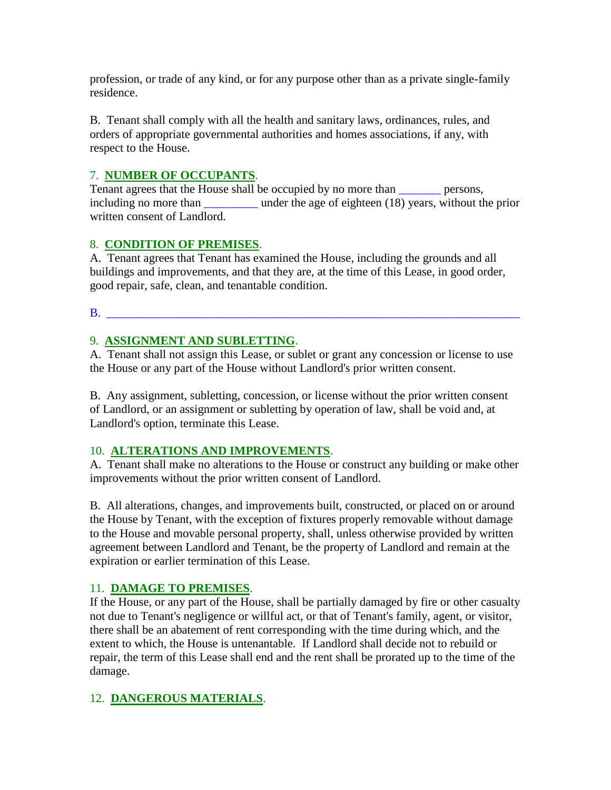profession, or trade of any kind, or for any purpose other than as a private single-family residence.

B. Tenant shall comply with all the health and sanitary laws, ordinances, rules, and orders of appropriate governmental authorities and homes associations, if any, with respect to the House.

## 7. **NUMBER OF OCCUPANTS**.

Tenant agrees that the House shall be occupied by no more than persons, including no more than under the age of eighteen (18) years, without the prior written consent of Landlord.

## 8. **CONDITION OF PREMISES**.

A. Tenant agrees that Tenant has examined the House, including the grounds and all buildings and improvements, and that they are, at the time of this Lease, in good order, good repair, safe, clean, and tenantable condition.

 $\mathbf{B}$ .

## 9. **ASSIGNMENT AND SUBLETTING**.

A. Tenant shall not assign this Lease, or sublet or grant any concession or license to use the House or any part of the House without Landlord's prior written consent.

B. Any assignment, subletting, concession, or license without the prior written consent of Landlord, or an assignment or subletting by operation of law, shall be void and, at Landlord's option, terminate this Lease.

## 10. **ALTERATIONS AND IMPROVEMENTS**.

A. Tenant shall make no alterations to the House or construct any building or make other improvements without the prior written consent of Landlord.

B. All alterations, changes, and improvements built, constructed, or placed on or around the House by Tenant, with the exception of fixtures properly removable without damage to the House and movable personal property, shall, unless otherwise provided by written agreement between Landlord and Tenant, be the property of Landlord and remain at the expiration or earlier termination of this Lease.

## 11. **DAMAGE TO PREMISES**.

If the House, or any part of the House, shall be partially damaged by fire or other casualty not due to Tenant's negligence or willful act, or that of Tenant's family, agent, or visitor, there shall be an abatement of rent corresponding with the time during which, and the extent to which, the House is untenantable. If Landlord shall decide not to rebuild or repair, the term of this Lease shall end and the rent shall be prorated up to the time of the damage.

# 12. **DANGEROUS MATERIALS**.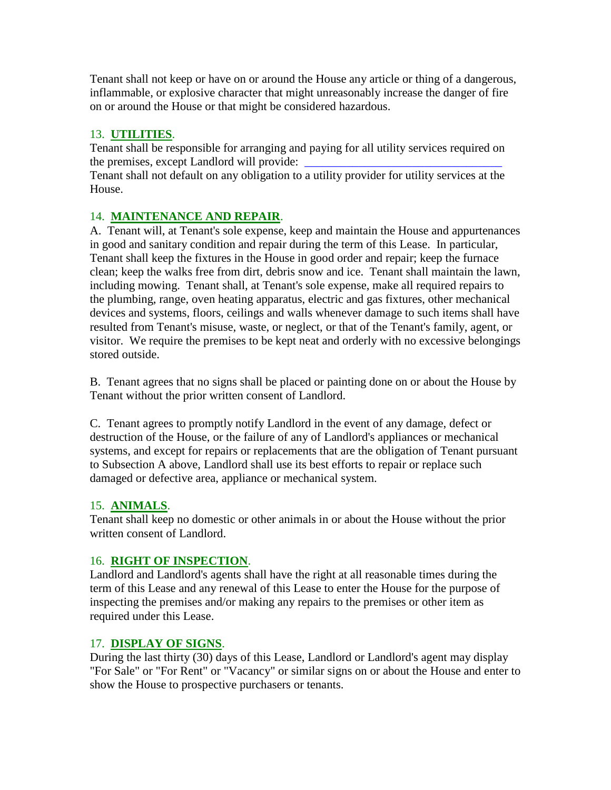Tenant shall not keep or have on or around the House any article or thing of a dangerous, inflammable, or explosive character that might unreasonably increase the danger of fire on or around the House or that might be considered hazardous.

# 13. **UTILITIES**.

Tenant shall be responsible for arranging and paying for all utility services required on the premises, except Landlord will provide:

Tenant shall not default on any obligation to a utility provider for utility services at the House.

# 14. **MAINTENANCE AND REPAIR**.

A. Tenant will, at Tenant's sole expense, keep and maintain the House and appurtenances in good and sanitary condition and repair during the term of this Lease. In particular, Tenant shall keep the fixtures in the House in good order and repair; keep the furnace clean; keep the walks free from dirt, debris snow and ice. Tenant shall maintain the lawn, including mowing. Tenant shall, at Tenant's sole expense, make all required repairs to the plumbing, range, oven heating apparatus, electric and gas fixtures, other mechanical devices and systems, floors, ceilings and walls whenever damage to such items shall have resulted from Tenant's misuse, waste, or neglect, or that of the Tenant's family, agent, or visitor. We require the premises to be kept neat and orderly with no excessive belongings stored outside.

B. Tenant agrees that no signs shall be placed or painting done on or about the House by Tenant without the prior written consent of Landlord.

C. Tenant agrees to promptly notify Landlord in the event of any damage, defect or destruction of the House, or the failure of any of Landlord's appliances or mechanical systems, and except for repairs or replacements that are the obligation of Tenant pursuant to Subsection A above, Landlord shall use its best efforts to repair or replace such damaged or defective area, appliance or mechanical system.

# 15. **ANIMALS**.

Tenant shall keep no domestic or other animals in or about the House without the prior written consent of Landlord.

# 16. **RIGHT OF INSPECTION**.

Landlord and Landlord's agents shall have the right at all reasonable times during the term of this Lease and any renewal of this Lease to enter the House for the purpose of inspecting the premises and/or making any repairs to the premises or other item as required under this Lease.

# 17. **DISPLAY OF SIGNS**.

During the last thirty (30) days of this Lease, Landlord or Landlord's agent may display "For Sale" or "For Rent" or "Vacancy" or similar signs on or about the House and enter to show the House to prospective purchasers or tenants.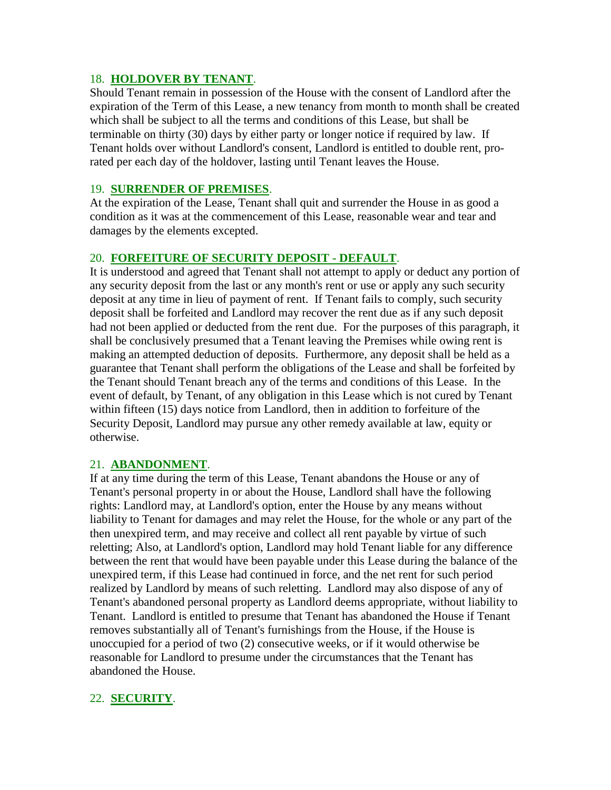### 18. **HOLDOVER BY TENANT**.

Should Tenant remain in possession of the House with the consent of Landlord after the expiration of the Term of this Lease, a new tenancy from month to month shall be created which shall be subject to all the terms and conditions of this Lease, but shall be terminable on thirty (30) days by either party or longer notice if required by law. If Tenant holds over without Landlord's consent, Landlord is entitled to double rent, prorated per each day of the holdover, lasting until Tenant leaves the House.

## 19. **SURRENDER OF PREMISES**.

At the expiration of the Lease, Tenant shall quit and surrender the House in as good a condition as it was at the commencement of this Lease, reasonable wear and tear and damages by the elements excepted.

## 20. **FORFEITURE OF SECURITY DEPOSIT - DEFAULT**.

It is understood and agreed that Tenant shall not attempt to apply or deduct any portion of any security deposit from the last or any month's rent or use or apply any such security deposit at any time in lieu of payment of rent. If Tenant fails to comply, such security deposit shall be forfeited and Landlord may recover the rent due as if any such deposit had not been applied or deducted from the rent due. For the purposes of this paragraph, it shall be conclusively presumed that a Tenant leaving the Premises while owing rent is making an attempted deduction of deposits. Furthermore, any deposit shall be held as a guarantee that Tenant shall perform the obligations of the Lease and shall be forfeited by the Tenant should Tenant breach any of the terms and conditions of this Lease. In the event of default, by Tenant, of any obligation in this Lease which is not cured by Tenant within fifteen (15) days notice from Landlord, then in addition to forfeiture of the Security Deposit, Landlord may pursue any other remedy available at law, equity or otherwise.

### 21. **ABANDONMENT**.

If at any time during the term of this Lease, Tenant abandons the House or any of Tenant's personal property in or about the House, Landlord shall have the following rights: Landlord may, at Landlord's option, enter the House by any means without liability to Tenant for damages and may relet the House, for the whole or any part of the then unexpired term, and may receive and collect all rent payable by virtue of such reletting; Also, at Landlord's option, Landlord may hold Tenant liable for any difference between the rent that would have been payable under this Lease during the balance of the unexpired term, if this Lease had continued in force, and the net rent for such period realized by Landlord by means of such reletting. Landlord may also dispose of any of Tenant's abandoned personal property as Landlord deems appropriate, without liability to Tenant. Landlord is entitled to presume that Tenant has abandoned the House if Tenant removes substantially all of Tenant's furnishings from the House, if the House is unoccupied for a period of two (2) consecutive weeks, or if it would otherwise be reasonable for Landlord to presume under the circumstances that the Tenant has abandoned the House.

## 22. **SECURITY**.